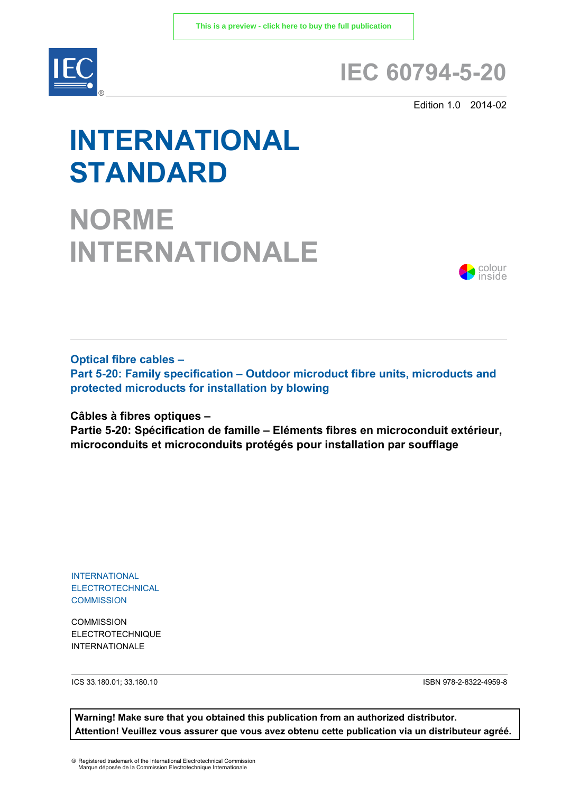

# **IEC 60794-5-20**

Edition 1.0 2014-02

# **INTERNATIONAL STANDARD**

**NORME INTERNATIONALE**



**Optical fibre cables –**

**Part 5-20: Family specification – Outdoor microduct fibre units, microducts and protected microducts for installation by blowing**

**Câbles à fibres optiques –** 

**Partie 5-20: Spécification de famille – Eléments fibres en microconduit extérieur, microconduits et microconduits protégés pour installation par soufflage**

INTERNATIONAL ELECTROTECHNICAL **COMMISSION** 

**COMMISSION** ELECTROTECHNIQUE INTERNATIONALE

ICS 33.180.01; 33.180.10 ISBN 978-2-8322-4959-8

**Warning! Make sure that you obtained this publication from an authorized distributor. Attention! Veuillez vous assurer que vous avez obtenu cette publication via un distributeur agréé.**

® Registered trademark of the International Electrotechnical Commission Marque déposée de la Commission Electrotechnique Internationale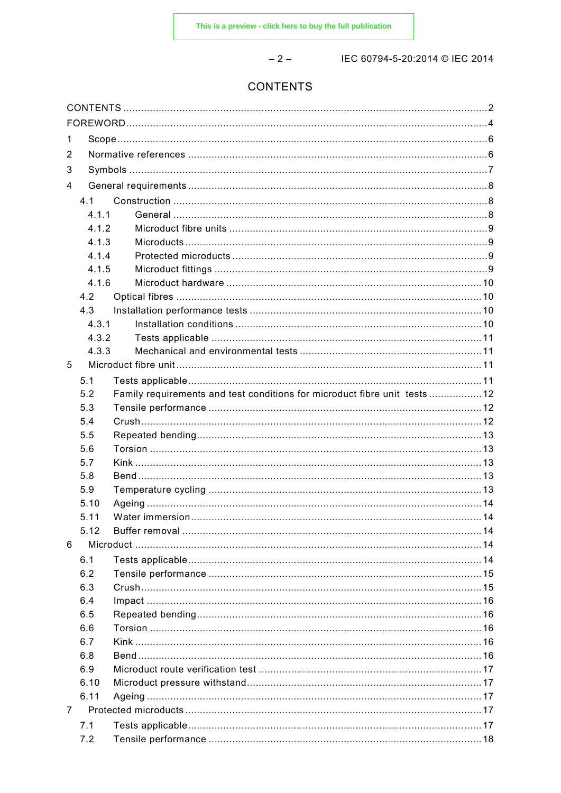$-2-$ 

IEC 60794-5-20:2014 © IEC 2014

# **CONTENTS**

| 1              |              |                                                                            |  |  |
|----------------|--------------|----------------------------------------------------------------------------|--|--|
| 2              |              |                                                                            |  |  |
| 3              |              |                                                                            |  |  |
| 4              |              |                                                                            |  |  |
|                |              |                                                                            |  |  |
|                | 4.1<br>4.1.1 |                                                                            |  |  |
|                | 412          |                                                                            |  |  |
|                | 4.1.3        |                                                                            |  |  |
|                | 4.1.4        |                                                                            |  |  |
|                | 4.1.5        |                                                                            |  |  |
|                | 4.1.6        |                                                                            |  |  |
|                | 4.2          |                                                                            |  |  |
|                | 4.3          |                                                                            |  |  |
|                | 4.3.1        |                                                                            |  |  |
|                | 4.3.2        |                                                                            |  |  |
|                | 4.3.3        |                                                                            |  |  |
| 5              |              |                                                                            |  |  |
|                |              |                                                                            |  |  |
|                | 5.1          |                                                                            |  |  |
|                | 5.2          | Family requirements and test conditions for microduct fibre unit tests  12 |  |  |
|                | 5.3          |                                                                            |  |  |
|                | 5.4          |                                                                            |  |  |
|                | 5.5          |                                                                            |  |  |
|                | 5.6          |                                                                            |  |  |
|                | 5.7          |                                                                            |  |  |
|                | 5.8          |                                                                            |  |  |
|                | 5.9          |                                                                            |  |  |
|                | 5.10         |                                                                            |  |  |
|                | 5.11         |                                                                            |  |  |
|                | 5.12         |                                                                            |  |  |
| 6              |              |                                                                            |  |  |
|                | 6.1          |                                                                            |  |  |
|                | 6.2          |                                                                            |  |  |
|                | 6.3          |                                                                            |  |  |
|                | 6.4          |                                                                            |  |  |
|                | 6.5          |                                                                            |  |  |
|                | 6.6          |                                                                            |  |  |
|                | 6.7          |                                                                            |  |  |
|                | 6.8          |                                                                            |  |  |
|                | 6.9          |                                                                            |  |  |
|                | 6.10         |                                                                            |  |  |
|                | 6.11         |                                                                            |  |  |
| $\overline{7}$ |              |                                                                            |  |  |
|                |              |                                                                            |  |  |
|                | 7.1          |                                                                            |  |  |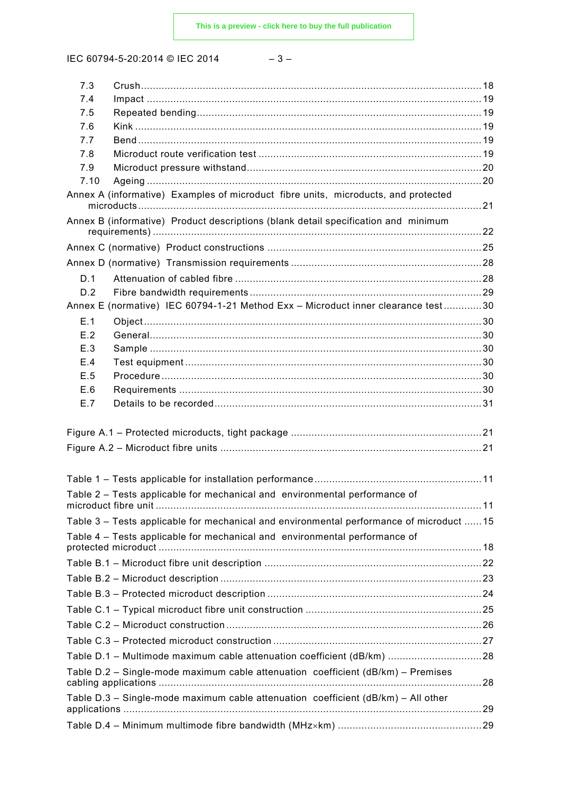IEC 60794-5-20:2014 © IEC 2014

| ×<br>M.<br>۰. |  |
|---------------|--|
|---------------|--|

| 7.3        |                                                                                         |  |
|------------|-----------------------------------------------------------------------------------------|--|
| 7.4        |                                                                                         |  |
| 7.5        |                                                                                         |  |
| 7.6        |                                                                                         |  |
| 7.7<br>7.8 |                                                                                         |  |
| 7.9        |                                                                                         |  |
| 7.10       |                                                                                         |  |
|            | Annex A (informative) Examples of microduct fibre units, microducts, and protected      |  |
|            | Annex B (informative) Product descriptions (blank detail specification and minimum      |  |
|            |                                                                                         |  |
|            |                                                                                         |  |
| D.1        |                                                                                         |  |
| D.2        |                                                                                         |  |
|            | Annex E (normative) IEC 60794-1-21 Method Exx - Microduct inner clearance test30        |  |
| E.1        |                                                                                         |  |
| E.2        |                                                                                         |  |
| E.3        |                                                                                         |  |
| E.4        |                                                                                         |  |
| E.5<br>E.6 |                                                                                         |  |
| E.7        |                                                                                         |  |
|            |                                                                                         |  |
|            |                                                                                         |  |
|            |                                                                                         |  |
|            |                                                                                         |  |
|            |                                                                                         |  |
|            | Table 2 - Tests applicable for mechanical and environmental performance of              |  |
|            |                                                                                         |  |
|            | Table 3 - Tests applicable for mechanical and environmental performance of microduct 15 |  |
|            | Table 4 - Tests applicable for mechanical and environmental performance of              |  |
|            |                                                                                         |  |
|            |                                                                                         |  |
|            |                                                                                         |  |
|            |                                                                                         |  |
|            |                                                                                         |  |
|            |                                                                                         |  |
|            |                                                                                         |  |
|            | Table D.1 - Multimode maximum cable attenuation coefficient (dB/km) 28                  |  |
|            | Table D.2 - Single-mode maximum cable attenuation coefficient (dB/km) - Premises        |  |
|            | Table D.3 - Single-mode maximum cable attenuation coefficient (dB/km) - All other       |  |
|            |                                                                                         |  |
|            |                                                                                         |  |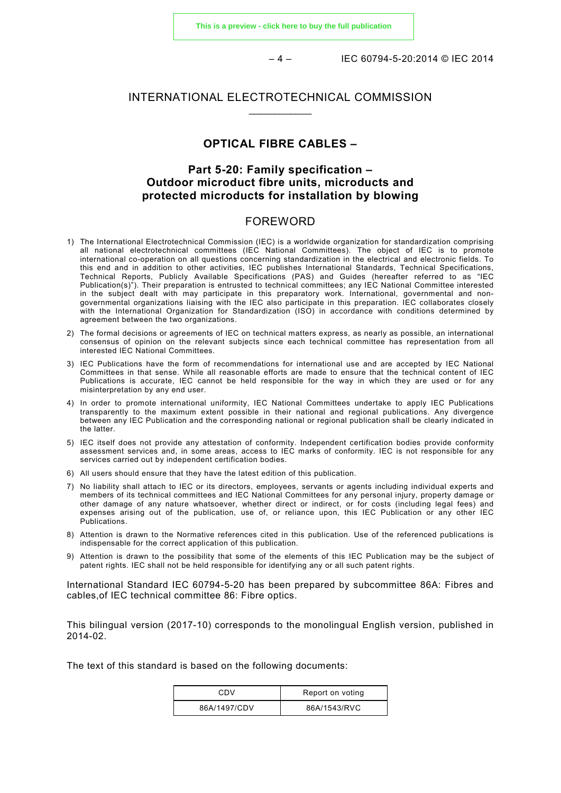$-4 -$  IEC 60794-5-20:2014 © IEC 2014

#### INTERNATIONAL ELECTROTECHNICAL COMMISSION \_\_\_\_\_\_\_\_\_\_\_\_

#### **OPTICAL FIBRE CABLES –**

#### **Part 5-20: Family specification – Outdoor microduct fibre units, microducts and protected microducts for installation by blowing**

#### FOREWORD

- 1) The International Electrotechnical Commission (IEC) is a worldwide organization for standardization comprising all national electrotechnical committees (IEC National Committees). The object of IEC is to promote international co-operation on all questions concerning standardization in the electrical and electronic fields. To this end and in addition to other activities, IEC publishes International Standards, Technical Specifications, Technical Reports, Publicly Available Specifications (PAS) and Guides (hereafter referred to as "IEC Publication(s)"). Their preparation is entrusted to technical committees; any IEC National Committee interested in the subject dealt with may participate in this preparatory work. International, governmental and nongovernmental organizations liaising with the IEC also participate in this preparation. IEC collaborates closely with the International Organization for Standardization (ISO) in accordance with conditions determined by agreement between the two organizations.
- 2) The formal decisions or agreements of IEC on technical matters express, as nearly as possible, an international consensus of opinion on the relevant subjects since each technical committee has representation from all interested IEC National Committees.
- 3) IEC Publications have the form of recommendations for international use and are accepted by IEC National Committees in that sense. While all reasonable efforts are made to ensure that the technical content of IEC Publications is accurate, IEC cannot be held responsible for the way in which they are used or for any misinterpretation by any end user.
- 4) In order to promote international uniformity, IEC National Committees undertake to apply IEC Publications transparently to the maximum extent possible in their national and regional publications. Any divergence between any IEC Publication and the corresponding national or regional publication shall be clearly indicated in the latter.
- 5) IEC itself does not provide any attestation of conformity. Independent certification bodies provide conformity assessment services and, in some areas, access to IEC marks of conformity. IEC is not responsible for any services carried out by independent certification bodies.
- 6) All users should ensure that they have the latest edition of this publication.
- 7) No liability shall attach to IEC or its directors, employees, servants or agents including individual experts and members of its technical committees and IEC National Committees for any personal injury, property damage or other damage of any nature whatsoever, whether direct or indirect, or for costs (including legal fees) and expenses arising out of the publication, use of, or reliance upon, this IEC Publication or any other IEC Publications.
- 8) Attention is drawn to the Normative references cited in this publication. Use of the referenced publications is indispensable for the correct application of this publication.
- 9) Attention is drawn to the possibility that some of the elements of this IEC Publication may be the subject of patent rights. IEC shall not be held responsible for identifying any or all such patent rights.

International Standard IEC 60794-5-20 has been prepared by subcommittee 86A: Fibres and cables,of IEC technical committee 86: Fibre optics.

This bilingual version (2017-10) corresponds to the monolingual English version, published in 2014-02.

The text of this standard is based on the following documents:

| CDV          | Report on voting |
|--------------|------------------|
| 86A/1497/CDV | 86A/1543/RVC     |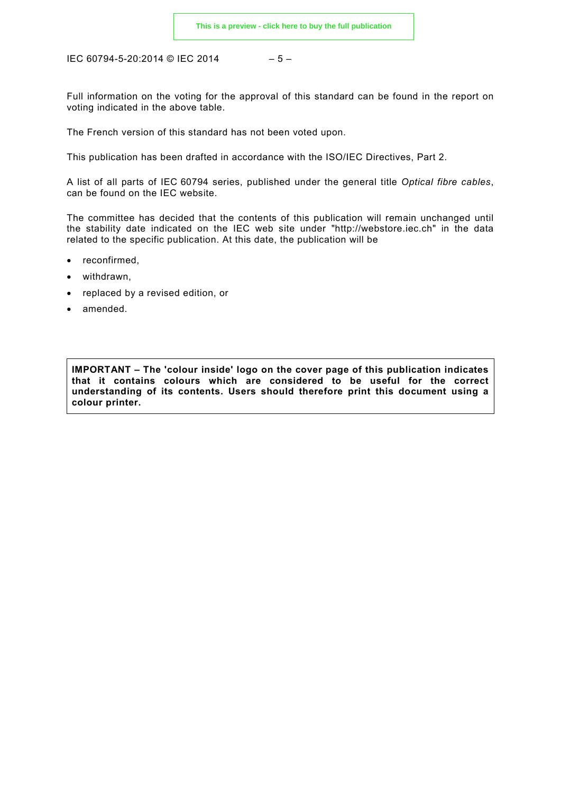IEC 60794-5-20:2014 © IEC 2014 – 5 –

Full information on the voting for the approval of this standard can be found in the report on voting indicated in the above table.

The French version of this standard has not been voted upon.

This publication has been drafted in accordance with the ISO/IEC Directives, Part 2.

A list of all parts of IEC 60794 series, published under the general title *Optical fibre cables*, can be found on the IEC website.

The committee has decided that the contents of this publication will remain unchanged until the stability date indicated on the IEC web site under "http://webstore.iec.ch" in the data related to the specific publication. At this date, the publication will be

- reconfirmed,
- withdrawn.
- replaced by a revised edition, or
- amended.

**IMPORTANT – The 'colour inside' logo on the cover page of this publication indicates that it contains colours which are considered to be useful for the correct understanding of its contents. Users should therefore print this document using a colour printer.**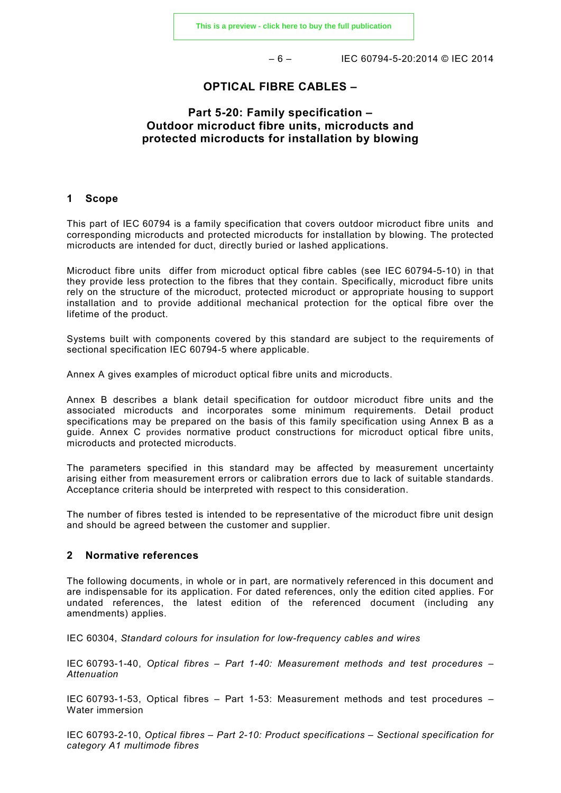$-6 -$  IEC 60794-5-20:2014 © IEC 2014

#### **OPTICAL FIBRE CABLES –**

#### **Part 5-20: Family specification – Outdoor microduct fibre units, microducts and protected microducts for installation by blowing**

#### **1 Scope**

This part of IEC 60794 is a family specification that covers outdoor microduct fibre units and corresponding microducts and protected microducts for installation by blowing. The protected microducts are intended for duct, directly buried or lashed applications.

Microduct fibre units differ from microduct optical fibre cables (see IEC 60794-5-10) in that they provide less protection to the fibres that they contain. Specifically, microduct fibre units rely on the structure of the microduct, protected microduct or appropriate housing to support installation and to provide additional mechanical protection for the optical fibre over the lifetime of the product.

Systems built with components covered by this standard are subject to the requirements of sectional specification IEC 60794-5 where applicable.

Annex A gives examples of microduct optical fibre units and microducts.

Annex B describes a blank detail specification for outdoor microduct fibre units and the associated microducts and incorporates some minimum requirements. Detail product specifications may be prepared on the basis of this family specification using Annex B as a guide. Annex C provides normative product constructions for microduct optical fibre units, microducts and protected microducts.

The parameters specified in this standard may be affected by measurement uncertainty arising either from measurement errors or calibration errors due to lack of suitable standards. Acceptance criteria should be interpreted with respect to this consideration.

The number of fibres tested is intended to be representative of the microduct fibre unit design and should be agreed between the customer and supplier.

#### **2 Normative references**

The following documents, in whole or in part, are normatively referenced in this document and are indispensable for its application. For dated references, only the edition cited applies. For undated references, the latest edition of the referenced document (including any amendments) applies.

IEC 60304, *Standard colours for insulation for low-frequency cables and wires*

IEC 60793-1-40, *Optical fibres – Part 1-40: Measurement methods and test procedures – Attenuation*

IEC 60793-1-53, Optical fibres – Part 1-53: Measurement methods and test procedures – Water immersion

IEC 60793-2-10, *Optical fibres – Part 2-10: Product specifications – Sectional specification for category A1 multimode fibres*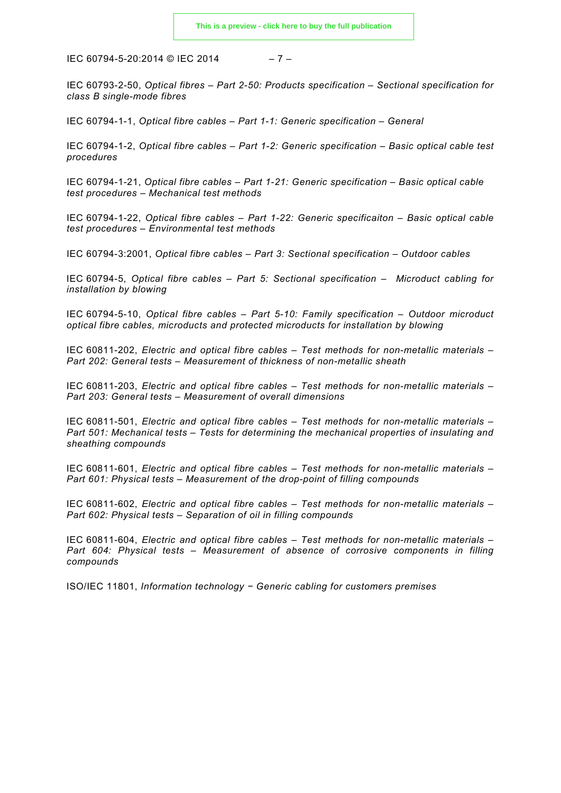IEC 60794-5-20:2014 © IEC 2014 – 7 –

IEC 60793-2-50, *Optical fibres – Part 2-50: Products specification – Sectional specification for class B single-mode fibres*

IEC 60794-1-1, *Optical fibre cables – Part 1-1: Generic specification – General*

IEC 60794-1-2, *Optical fibre cables – Part 1-2: Generic specification – Basic optical cable test procedures*

IEC 60794-1-21, *Optical fibre cables – Part 1-21: Generic specification – Basic optical cable test procedures – Mechanical test methods*

IEC 60794-1-22, *Optical fibre cables – Part 1-22: Generic specificaiton – Basic optical cable test procedures – Environmental test methods*

IEC 60794-3:2001, *Optical fibre cables – Part 3: Sectional specification – Outdoor cables*

IEC 60794-5, *Optical fibre cables – Part 5: Sectional specification – Microduct cabling for installation by blowing*

IEC 60794-5-10, *Optical fibre cables – Part 5-10: Family specification – Outdoor microduct optical fibre cables, microducts and protected microducts for installation by blowing*

IEC 60811-202, *Electric and optical fibre cables – Test methods for non-metallic materials – Part 202: General tests – Measurement of thickness of non-metallic sheath*

IEC 60811-203, *Electric and optical fibre cables – Test methods for non-metallic materials – Part 203: General tests – Measurement of overall dimensions*

IEC 60811-501, *Electric and optical fibre cables – Test methods for non-metallic materials – Part 501: Mechanical tests – Tests for determining the mechanical properties of insulating and sheathing compounds*

IEC 60811-601, *Electric and optical fibre cables – Test methods for non-metallic materials – Part 601: Physical tests – Measurement of the drop-point of filling compounds*

IEC 60811-602, *Electric and optical fibre cables – Test methods for non-metallic materials – Part 602: Physical tests – Separation of oil in filling compounds*

IEC 60811-604, *Electric and optical fibre cables – Test methods for non-metallic materials – Part 604: Physical tests – Measurement of absence of corrosive components in filling compounds*

ISO/IEC 11801, *Information technology − Generic cabling for customers premises*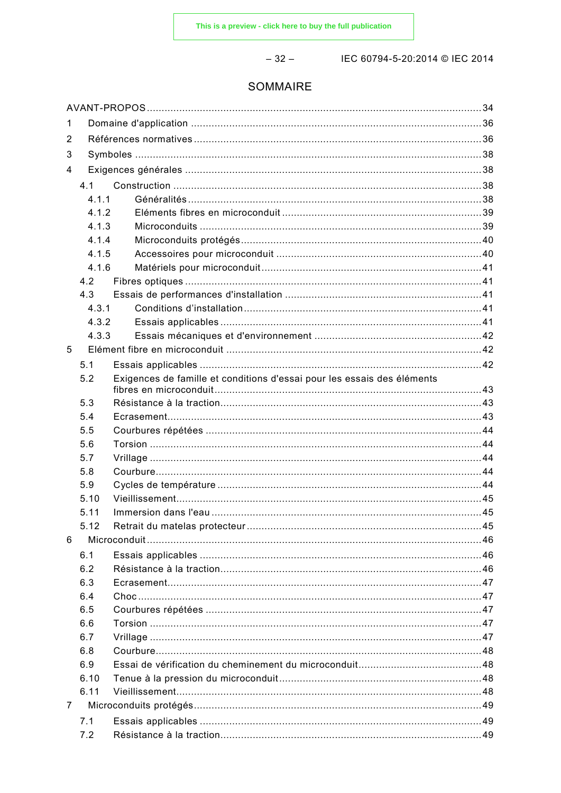$-32-$ 

IEC 60794-5-20:2014 © IEC 2014

# SOMMAIRE

| 1 |       |                                                                         |  |
|---|-------|-------------------------------------------------------------------------|--|
| 2 |       |                                                                         |  |
| 3 |       |                                                                         |  |
| 4 |       |                                                                         |  |
|   | 4.1   |                                                                         |  |
|   | 4.1.1 |                                                                         |  |
|   | 4.1.2 |                                                                         |  |
|   | 4.1.3 |                                                                         |  |
|   | 4.1.4 |                                                                         |  |
|   | 4.1.5 |                                                                         |  |
|   | 4.1.6 |                                                                         |  |
|   | 4.2   |                                                                         |  |
|   | 4.3   |                                                                         |  |
|   | 4.3.1 |                                                                         |  |
|   | 4.3.2 |                                                                         |  |
|   | 4.3.3 |                                                                         |  |
| 5 |       |                                                                         |  |
|   | 5.1   |                                                                         |  |
|   | 5.2   | Exigences de famille et conditions d'essai pour les essais des éléments |  |
|   | 5.3   |                                                                         |  |
|   | 5.4   |                                                                         |  |
|   | 5.5   |                                                                         |  |
|   | 5.6   |                                                                         |  |
|   | 5.7   |                                                                         |  |
|   | 5.8   |                                                                         |  |
|   | 5.9   |                                                                         |  |
|   | 5.10  |                                                                         |  |
|   | 5.11  |                                                                         |  |
|   | 5.12  |                                                                         |  |
| 6 |       |                                                                         |  |
|   | 6.1   |                                                                         |  |
|   | 6.2   |                                                                         |  |
|   | 6.3   |                                                                         |  |
|   | 6.4   |                                                                         |  |
|   | 6.5   |                                                                         |  |
|   | 6.6   |                                                                         |  |
|   | 6.7   |                                                                         |  |
|   | 6.8   |                                                                         |  |
|   | 6.9   |                                                                         |  |
|   | 6.10  |                                                                         |  |
|   | 6.11  |                                                                         |  |
| 7 |       |                                                                         |  |
|   | 7.1   |                                                                         |  |
|   | 7.2   |                                                                         |  |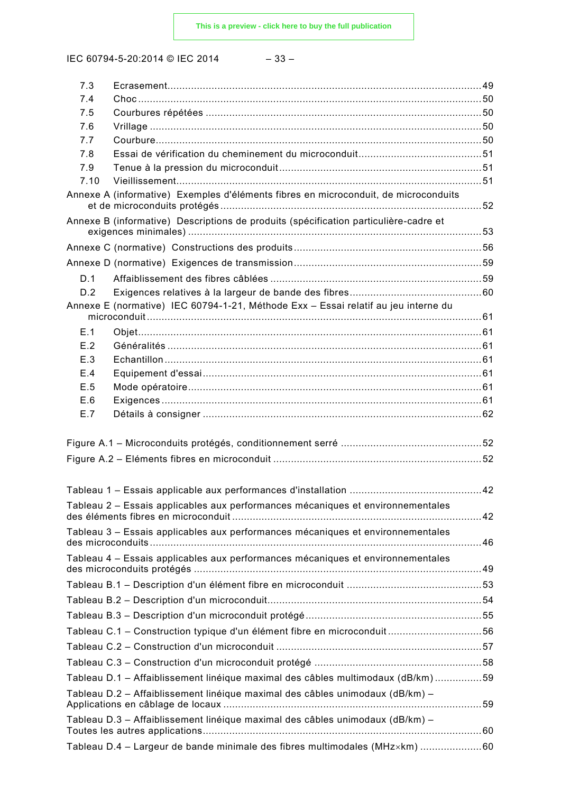IEC 60794-5-20:2014 © IEC 2014 – 33 –

| 7.3         |                                                                                      |  |
|-------------|--------------------------------------------------------------------------------------|--|
| 7.4         |                                                                                      |  |
| 7.5         |                                                                                      |  |
| 7.6         |                                                                                      |  |
| 7.7         |                                                                                      |  |
| 7.8         |                                                                                      |  |
| 7.9<br>7.10 |                                                                                      |  |
|             | Annexe A (informative) Exemples d'éléments fibres en microconduit, de microconduits  |  |
|             |                                                                                      |  |
|             | Annexe B (informative) Descriptions de produits (spécification particulière-cadre et |  |
|             |                                                                                      |  |
|             |                                                                                      |  |
| D.1         |                                                                                      |  |
| D.2         |                                                                                      |  |
|             | Annexe E (normative) IEC 60794-1-21, Méthode Exx - Essai relatif au jeu interne du   |  |
| E.1         |                                                                                      |  |
| E.2         |                                                                                      |  |
| E.3         |                                                                                      |  |
| E.4         |                                                                                      |  |
| E.5         |                                                                                      |  |
| E.6         |                                                                                      |  |
| E.7         |                                                                                      |  |
|             |                                                                                      |  |
|             |                                                                                      |  |
|             |                                                                                      |  |
|             |                                                                                      |  |
|             |                                                                                      |  |
|             | Tableau 2 – Essais applicables aux performances mécaniques et environnementales      |  |
|             | Tableau 3 - Essais applicables aux performances mécaniques et environnementales      |  |
|             |                                                                                      |  |
|             | Tableau 4 - Essais applicables aux performances mécaniques et environnementales      |  |
|             |                                                                                      |  |
|             |                                                                                      |  |
|             |                                                                                      |  |
|             |                                                                                      |  |
|             | Tableau C.1 - Construction typique d'un élément fibre en microconduit 56             |  |
|             |                                                                                      |  |
|             |                                                                                      |  |
|             | Tableau D.1 - Affaiblissement linéique maximal des câbles multimodaux (dB/km)59      |  |
|             | Tableau D.2 - Affaiblissement linéique maximal des câbles unimodaux (dB/km) -        |  |
|             |                                                                                      |  |
|             | Tableau D.3 - Affaiblissement linéique maximal des câbles unimodaux (dB/km) -        |  |
|             | Tableau D.4 - Largeur de bande minimale des fibres multimodales (MHzxkm) 60          |  |
|             |                                                                                      |  |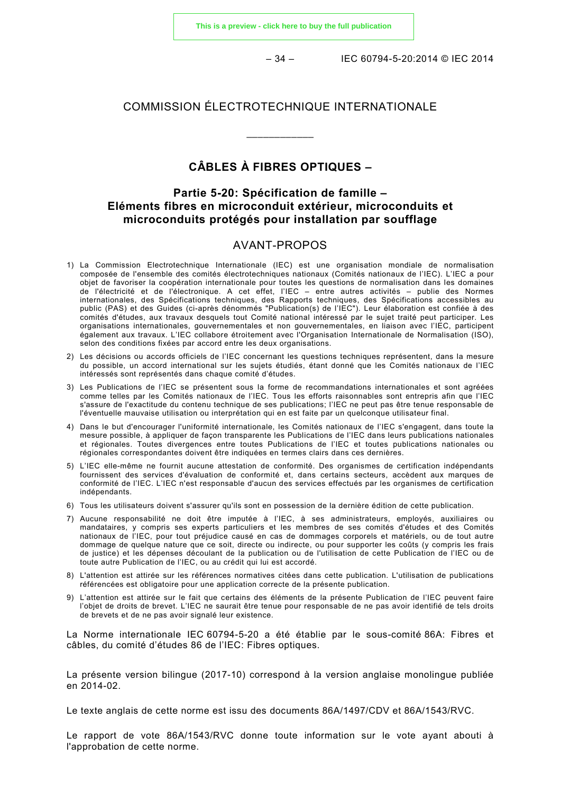$-34 -$  IEC 60794-5-20:2014 © IEC 2014

#### COMMISSION ÉLECTROTECHNIQUE INTERNATIONALE

\_\_\_\_\_\_\_\_\_\_\_\_

# **CÂBLES À FIBRES OPTIQUES –**

#### **Partie 5-20: Spécification de famille – Eléments fibres en microconduit extérieur, microconduits et microconduits protégés pour installation par soufflage**

#### AVANT-PROPOS

- 1) La Commission Electrotechnique Internationale (IEC) est une organisation mondiale de normalisation composée de l'ensemble des comités électrotechniques nationaux (Comités nationaux de l'IEC). L'IEC a pour objet de favoriser la coopération internationale pour toutes les questions de normalisation dans les domaines de l'électricité et de l'électronique. A cet effet, l'IEC – entre autres activités – publie des Normes internationales, des Spécifications techniques, des Rapports techniques, des Spécifications accessibles au public (PAS) et des Guides (ci-après dénommés "Publication(s) de l'IEC"). Leur élaboration est confiée à des comités d'études, aux travaux desquels tout Comité national intéressé par le sujet traité peut participer. Les organisations internationales, gouvernementales et non gouvernementales, en liaison avec l'IEC, participent également aux travaux. L'IEC collabore étroitement avec l'Organisation Internationale de Normalisation (ISO), selon des conditions fixées par accord entre les deux organisations.
- 2) Les décisions ou accords officiels de l'IEC concernant les questions techniques représentent, dans la mesure du possible, un accord international sur les sujets étudiés, étant donné que les Comités nationaux de l'IEC intéressés sont représentés dans chaque comité d'études.
- 3) Les Publications de l'IEC se présentent sous la forme de recommandations internationales et sont agréées comme telles par les Comités nationaux de l'IEC. Tous les efforts raisonnables sont entrepris afin que l'IEC s'assure de l'exactitude du contenu technique de ses publications; l'IEC ne peut pas être tenue responsable de l'éventuelle mauvaise utilisation ou interprétation qui en est faite par un quelconque utilisateur final.
- 4) Dans le but d'encourager l'uniformité internationale, les Comités nationaux de l'IEC s'engagent, dans toute la mesure possible, à appliquer de façon transparente les Publications de l'IEC dans leurs publications nationales et régionales. Toutes divergences entre toutes Publications de l'IEC et toutes publications nationales ou régionales correspondantes doivent être indiquées en termes clairs dans ces dernières.
- 5) L'IEC elle-même ne fournit aucune attestation de conformité. Des organismes de certification indépendants fournissent des services d'évaluation de conformité et, dans certains secteurs, accèdent aux marques de conformité de l'IEC. L'IEC n'est responsable d'aucun des services effectués par les organismes de certification indépendants.
- 6) Tous les utilisateurs doivent s'assurer qu'ils sont en possession de la dernière édition de cette publication.
- 7) Aucune responsabilité ne doit être imputée à l'IEC, à ses administrateurs, employés, auxiliaires ou mandataires, y compris ses experts particuliers et les membres de ses comités d'études et des Comités nationaux de l'IEC, pour tout préjudice causé en cas de dommages corporels et matériels, ou de tout autre dommage de quelque nature que ce soit, directe ou indirecte, ou pour supporter les coûts (y compris les frais de justice) et les dépenses découlant de la publication ou de l'utilisation de cette Publication de l'IEC ou de toute autre Publication de l'IEC, ou au crédit qui lui est accordé.
- 8) L'attention est attirée sur les références normatives citées dans cette publication. L'utilisation de publications référencées est obligatoire pour une application correcte de la présente publication.
- 9) L'attention est attirée sur le fait que certains des éléments de la présente Publication de l'IEC peuvent faire l'objet de droits de brevet. L'IEC ne saurait être tenue pour responsable de ne pas avoir identifié de tels droits de brevets et de ne pas avoir signalé leur existence.

La Norme internationale IEC 60794-5-20 a été établie par le sous-comité 86A: Fibres et câbles, du comité d'études 86 de l'IEC: Fibres optiques.

La présente version bilingue (2017-10) correspond à la version anglaise monolingue publiée en 2014-02.

Le texte anglais de cette norme est issu des documents 86A/1497/CDV et 86A/1543/RVC.

Le rapport de vote 86A/1543/RVC donne toute information sur le vote ayant abouti à l'approbation de cette norme.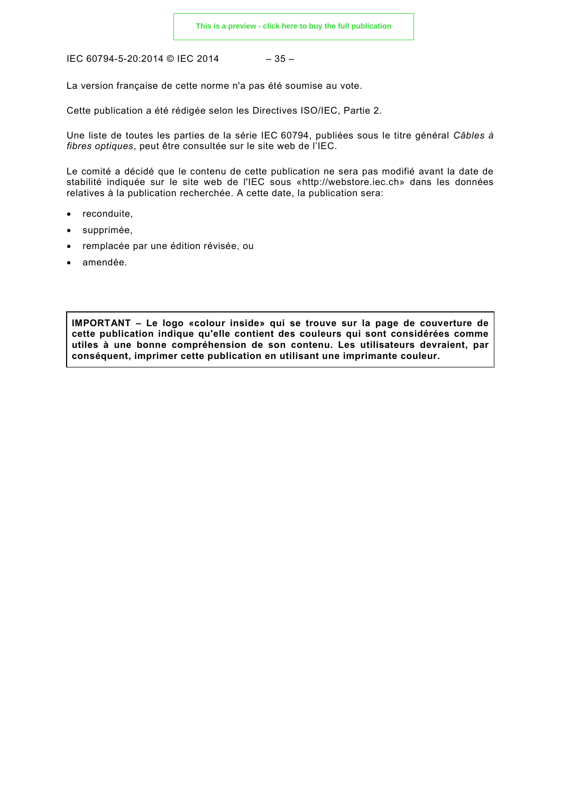IEC 60794-5-20:2014 © IEC 2014

$$
-35-
$$

La version française de cette norme n'a pas été soumise au vote.

Cette publication a été rédigée selon les Directives ISO/IEC, Partie 2.

Une liste de toutes les parties de la série IEC 60794, publiées sous le titre général *Câbles à fibres optiques*, peut être consultée sur le site web de l'IEC.

Le comité a décidé que le contenu de cette publication ne sera pas modifié avant la date de stabilité indiquée sur le site web de l'IEC sous «http://webstore.iec.ch» dans les données relatives à la publication recherchée. A cette date, la publication sera:

- reconduite.
- supprimée,
- remplacée par une édition révisée, ou
- amendée.

**IMPORTANT – Le logo «colour inside» qui se trouve sur la page de couverture de cette publication indique qu'elle contient des couleurs qui sont considérées comme utiles à une bonne compréhension de son contenu. Les utilisateurs devraient, par conséquent, imprimer cette publication en utilisant une imprimante couleur.**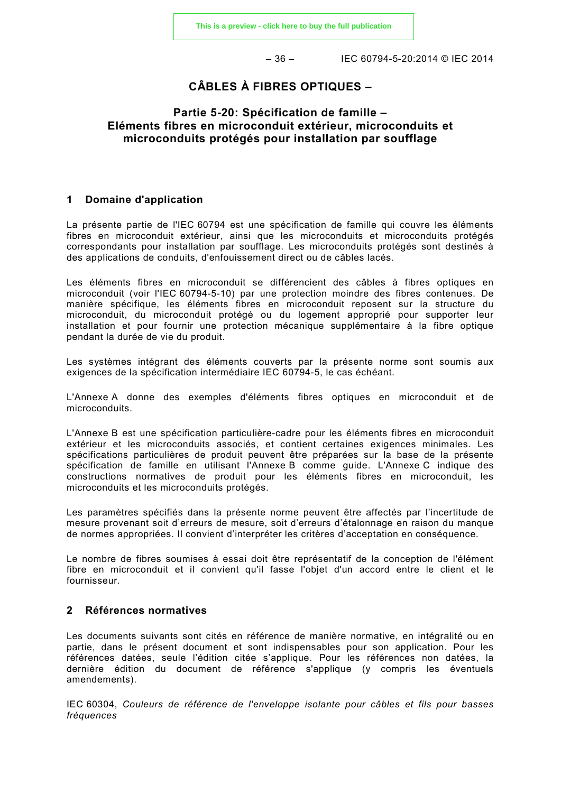$-36 -$  IEC 60794-5-20:2014 © IEC 2014

### **CÂBLES À FIBRES OPTIQUES –**

#### **Partie 5-20: Spécification de famille – Eléments fibres en microconduit extérieur, microconduits et microconduits protégés pour installation par soufflage**

#### **1 Domaine d'application**

La présente partie de l'IEC 60794 est une spécification de famille qui couvre les éléments fibres en microconduit extérieur, ainsi que les microconduits et microconduits protégés correspondants pour installation par soufflage. Les microconduits protégés sont destinés à des applications de conduits, d'enfouissement direct ou de câbles lacés.

Les éléments fibres en microconduit se différencient des câbles à fibres optiques en microconduit (voir l'IEC 60794-5-10) par une protection moindre des fibres contenues. De manière spécifique, les éléments fibres en microconduit reposent sur la structure du microconduit, du microconduit protégé ou du logement approprié pour supporter leur installation et pour fournir une protection mécanique supplémentaire à la fibre optique pendant la durée de vie du produit.

Les systèmes intégrant des éléments couverts par la présente norme sont soumis aux exigences de la spécification intermédiaire IEC 60794-5, le cas échéant.

L'Annexe A donne des exemples d'éléments fibres optiques en microconduit et de microconduits.

L'Annexe B est une spécification particulière-cadre pour les éléments fibres en microconduit extérieur et les microconduits associés, et contient certaines exigences minimales. Les spécifications particulières de produit peuvent être préparées sur la base de la présente spécification de famille en utilisant l'Annexe B comme guide. L'Annexe C indique des constructions normatives de produit pour les éléments fibres en microconduit, les microconduits et les microconduits protégés.

Les paramètres spécifiés dans la présente norme peuvent être affectés par l'incertitude de mesure provenant soit d'erreurs de mesure, soit d'erreurs d'étalonnage en raison du manque de normes appropriées. Il convient d'interpréter les critères d'acceptation en conséquence.

Le nombre de fibres soumises à essai doit être représentatif de la conception de l'élément fibre en microconduit et il convient qu'il fasse l'objet d'un accord entre le client et le fournisseur.

#### **2 Références normatives**

Les documents suivants sont cités en référence de manière normative, en intégralité ou en partie, dans le présent document et sont indispensables pour son application. Pour les références datées, seule l'édition citée s'applique. Pour les références non datées, la dernière édition du document de référence s'applique (y compris les éventuels amendements).

IEC 60304, *Couleurs de référence de l'enveloppe isolante pour câbles et fils pour basses fréquences*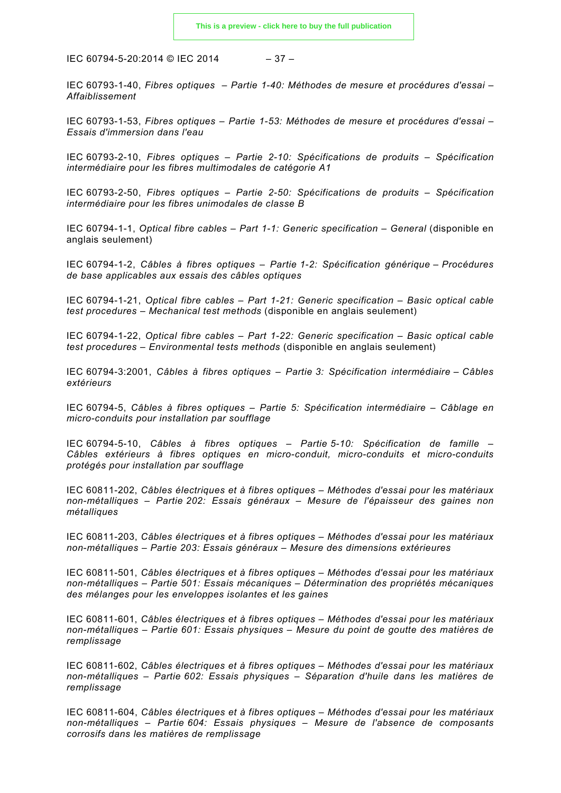IEC 60794-5-20:2014 © IEC 2014 – 37 –

IEC 60793-1-40, *Fibres optiques – Partie 1-40: Méthodes de mesure et procédures d'essai – Affaiblissement*

IEC 60793-1-53, *Fibres optiques – Partie 1-53: Méthodes de mesure et procédures d'essai – Essais d'immersion dans l'eau*

IEC 60793-2-10, *Fibres optiques – Partie 2-10: Spécifications de produits – Spécification intermédiaire pour les fibres multimodales de catégorie A1*

IEC 60793-2-50, *Fibres optiques – Partie 2-50: Spécifications de produits – Spécification intermédiaire pour les fibres unimodales de classe B*

IEC 60794-1-1, *Optical fibre cables – Part 1-1: Generic specification – General* (disponible en anglais seulement)

IEC 60794-1-2, *Câbles à fibres optiques – Partie 1-2: Spécification générique – Procédures de base applicables aux essais des câbles optiques*

IEC 60794-1-21, *Optical fibre cables – Part 1-21: Generic specification – Basic optical cable test procedures – Mechanical test methods* (disponible en anglais seulement)

IEC 60794-1-22, *Optical fibre cables – Part 1-22: Generic specification – Basic optical cable test procedures – Environmental tests methods* (disponible en anglais seulement)

IEC 60794-3:2001, *Câbles à fibres optiques – Partie 3: Spécification intermédiaire – Câbles extérieurs*

IEC 60794-5, *Câbles à fibres optiques – Partie 5: Spécification intermédiaire – Câblage en micro-conduits pour installation par soufflage*

IEC 60794-5-10, *Câbles à fibres optiques – Partie 5-10: Spécification de famille – Câbles extérieurs à fibres optiques en micro-conduit, micro-conduits et micro-conduits protégés pour installation par soufflage*

IEC 60811-202, *Câbles électriques et à fibres optiques – Méthodes d'essai pour les matériaux non-métalliques – Partie 202: Essais généraux – Mesure de l'épaisseur des gaines non métalliques*

IEC 60811-203, *Câbles électriques et à fibres optiques – Méthodes d'essai pour les matériaux non-métalliques – Partie 203: Essais généraux – Mesure des dimensions extérieures*

IEC 60811-501, *Câbles électriques et à fibres optiques – Méthodes d'essai pour les matériaux non-métalliques – Partie 501: Essais mécaniques – Détermination des propriétés mécaniques des mélanges pour les enveloppes isolantes et les gaines*

IEC 60811-601, *Câbles électriques et à fibres optiques – Méthodes d'essai pour les matériaux non-métalliques – Partie 601: Essais physiques – Mesure du point de goutte des matières de remplissage*

IEC 60811-602, *Câbles électriques et à fibres optiques – Méthodes d'essai pour les matériaux non-métalliques – Partie 602: Essais physiques – Séparation d'huile dans les matières de remplissage*

IEC 60811-604, *Câbles électriques et à fibres optiques – Méthodes d'essai pour les matériaux non-métalliques – Partie 604: Essais physiques – Mesure de l'absence de composants corrosifs dans les matières de remplissage*